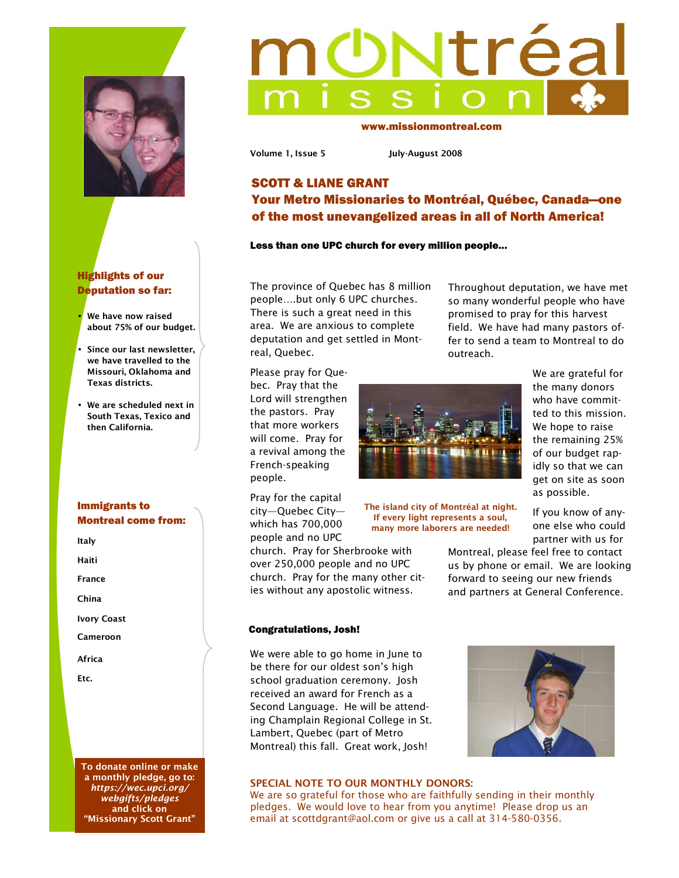



- **We have now raised about 75% of our budget.**
- **Since our last newsletter, we have travelled to the Missouri, Oklahoma and Texas districts.**
- **We are scheduled next in South Texas, Texico and then California.**

## Immigrants to Montreal come from:

**Italy** 

**Haiti** 

**France** 

**China** 

**Ivory Coast** 

**Cameroon** 

**Africa** 

**Etc.** 

**To donate online or make a monthly pledge, go to:**  *https://wec.upci.org/ webgifts/pledges* **and click on "Missionary Scott Grant"** 

# **Ntréa**

www.missionmontreal.com

**Volume 1, Issue 5 July-August 2008** 

# SCOTT & LIANE GRANT Your Metro Missionaries to Montréal, Québec, Canada—one of the most unevangelized areas in all of North America!

## Less than one UPC church for every million people...

The province of Quebec has 8 million people….but only 6 UPC churches. There is such a great need in this area. We are anxious to complete deputation and get settled in Montreal, Quebec.

Throughout deputation, we have met so many wonderful people who have promised to pray for this harvest field. We have had many pastors offer to send a team to Montreal to do outreach.

Please pray for Quebec. Pray that the Lord will strengthen the pastors. Pray that more workers will come. Pray for a revival among the French-speaking people.



Pray for the capital city—Quebec City which has 700,000 people and no UPC

church. Pray for Sherbrooke with over 250,000 people and no UPC church. Pray for the many other cities without any apostolic witness.

**The island city of Montréal at night. If every light represents a soul, many more laborers are needed!** 

We are grateful for the many donors who have committed to this mission. We hope to raise the remaining 25% of our budget rapidly so that we can get on site as soon as possible.

If you know of anyone else who could partner with us for

Montreal, please feel free to contact us by phone or email. We are looking forward to seeing our new friends and partners at General Conference.

### Congratulations, Josh!

We were able to go home in June to be there for our oldest son's high school graduation ceremony. Josh received an award for French as a Second Language. He will be attending Champlain Regional College in St. Lambert, Quebec (part of Metro Montreal) this fall. Great work, Josh!

### **SPECIAL NOTE TO OUR MONTHLY DONORS:**

We are so grateful for those who are faithfully sending in their monthly pledges. We would love to hear from you anytime! Please drop us an email at scottdgrant@aol.com or give us a call at 314-580-0356.